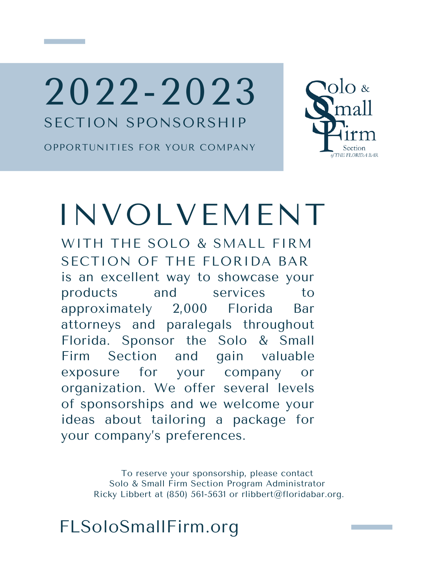2022-2023 SECTION SPONSORSHIP

OPPORTUNITIES FOR YOUR COMPANY



# INVOLVEMENT

is an excellent way to showcase your products and services to approximately 2,000 Florida Bar attorneys and paralegals throughout Florida. Sponsor the Solo & Small Firm Section and gain valuable exposure for your company or organization. We offer several levels of sponsorships and we welcome your ideas about tailoring a package for your company's preferences. WITH THE SOLO & SMALL FIRM SECTION OF THE FLORIDA BAR

> To reserve your sponsorship, please contact Solo & Small Firm Section Program Administrator Ricky Libbert at (850) 561-5631 or rlibbert@floridabar.org.

FLSoloSmallFirm.org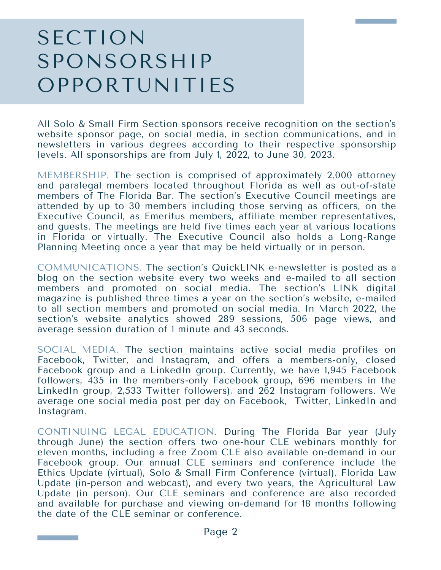### SECTION SPONSORSHIP OPPORTUNITIES

All Solo & Small Firm Section sponsors receive recognition on the section's website sponsor page, on social media, in section communications, and in newsletters in various degrees according to their respective sponsorship levels. All sponsorships are from July 1, 2022, to June 30, 2023.

MEMBERSHIP. The section is comprised of approximately 2,000 attorney and paralegal members located throughout Florida as well as out-of-state members of The Florida Bar. The section's Executive Council meetings are attended by up to 30 members including those serving as officers, on the Executive Council, as Emeritus members, affiliate member representatives, and guests. The meetings are held five times each year at various locations in Florida or virtually. The Executive Council also holds a Long-Range Planning Meeting once a year that may be held virtually or in person.

COMMUNICATIONS. The section's QuickLINK e-newsletter is posted as a blog on the section website every two weeks and e-mailed to all section members and promoted on social media. The section's LINK digital magazine is published three times a year on the section's website, e-mailed to all section members and promoted on social media. In March 2022, the section's website analytics showed 289 sessions, 506 page views, and average session duration of 1 minute and 43 seconds.

SOCIAL MEDIA. The section maintains active social media profiles on Facebook, Twitter, and Instagram, and offers a members-only, closed Facebook group and a LinkedIn group. Currently, we have 1,945 Facebook followers, 435 in the members-only Facebook group, 696 members in the LinkedIn group, 2,533 Twitter followers), and 262 Instagram followers. We average one social media post per day on Facebook, Twitter, LinkedIn and Instagram.

CONTINUING LEGAL EDUCATION. During The Florida Bar year (July through June) the section offers two one-hour CLE webinars monthly for eleven months, including a free Zoom CLE also available on-demand in our Facebook group. Our annual CLE seminars and conference include the Ethics Update (virtual), Solo & Small Firm Conference (virtual), Florida Law Update (in-person and webcast), and every two years, the Agricultural Law Update (in person). Our CLE seminars and conference are also recorded and available for purchase and viewing on-demand for 18 months following the date of the CLE seminar or conference.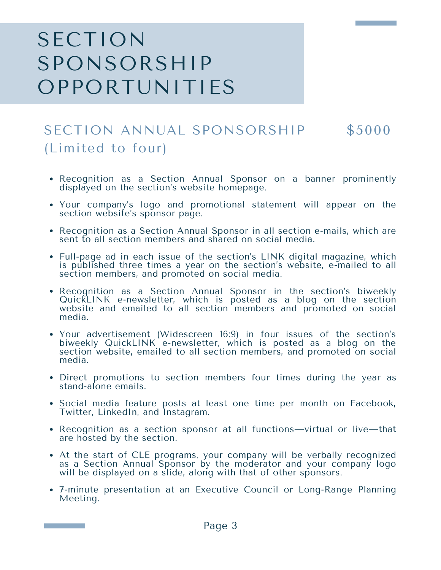### SECTION SPONSORSHIP OPPORTUNITIES

#### SECTION ANNUAL SPONSORSHIP \$5000 (Limited to four)

- Recognition as a Section Annual Sponsor on a banner prominently displayed on the section's website homepage.
- Your company's logo and promotional statement will appear on the section website's sponsor page.
- Recognition as a Section Annual Sponsor in all section e-mails, which are sent to all section members and shared on social media.
- Full-page ad in each issue of the section's LINK digital magazine, which is published three times a year on the section's website, e-mailed to all section members, and promoted on social media.
- Recognition as a Section Annual Sponsor in the section's biweekly QuickLINK e-newsletter, which is posted as a blog on the section website and emailed to all section members and promoted on social media.
- Your advertisement (Widescreen 16:9) in four issues of the section's biweekly QuickLINK e-newsletter, which is posted as a blog on the section website, emailed to all section members, and promoted on social media.
- Direct promotions to section members four times during the year as stand-alone emails.
- Social media feature posts at least one time per month on Facebook, Twitter, LinkedIn, and Instagram.
- Recognition as a section sponsor at all functions—virtual or live—that are hosted by the section.
- At the start of CLE programs, your company will be verbally recognized as a Section Annual Sponsor by the moderator and your company logo will be displayed on a slide, along with that of other sponsors.
- 7-minute presentation at an Executive Council or Long-Range Planning Meeting.

a sa salawan na kata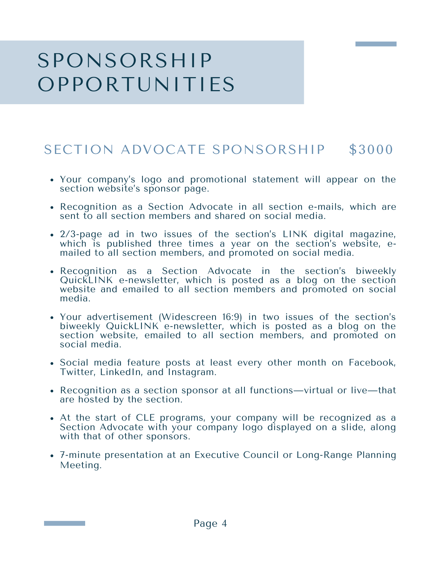### SPONSORSHIP OPPORTUNITIES

#### SECTION ADVOCATE SPONSORSHIP \$3000

- Your company's logo and promotional statement will appear on the section website's sponsor page.
- Recognition as a Section Advocate in all section e-mails, which are sent to all section members and shared on social media.
- 2/3-page ad in two issues of the section's LINK digital magazine, which is published three times a year on the section's website, emailed to all section members, and promoted on social media.
- Recognition as a Section Advocate in the section's biweekly QuickLINK e-newsletter, which is posted as a blog on the section website and emailed to all section members and promoted on social media.
- Your advertisement (Widescreen 16:9) in two issues of the section's biweekly QuickLINK e-newsletter, which is posted as a blog on the section website, emailed to all section members, and promoted on social media.
- Social media feature posts at least every other month on Facebook, Twitter, LinkedIn, and Instagram.
- Recognition as a section sponsor at all functions—virtual or live—that are hosted by the section.
- At the start of CLE programs, your company will be recognized as a Section Advocate with your company logo displayed on a slide, along with that of other sponsors.
- 7-minute presentation at an Executive Council or Long-Range Planning Meeting.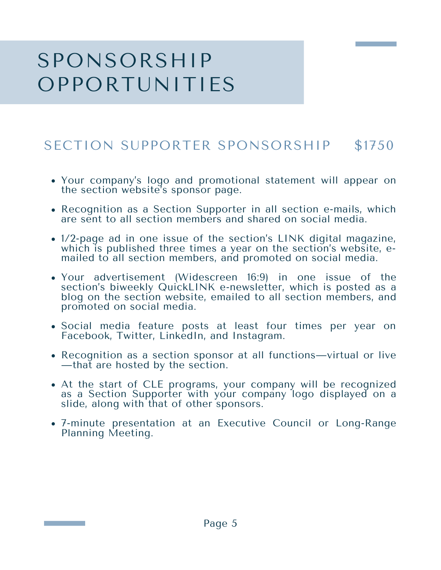### SPONSORSHIP OPPORTUNITIES

#### SECTION SUPPORTER SPONSORSHIP \$1750

- Your company's logo and promotional statement will appear on the section website's sponsor page.
- Recognition as a Section Supporter in all section e-mails, which are sent to all section members and shared on social media.
- 1/2-page ad in one issue of the section's LINK digital magazine, which is published three times a year on the section's website, emailed to all section members, and promoted on social media.
- Your advertisement (Widescreen 16:9) in one issue of the section's biweekly QuickLINK e-newsletter, which is posted as a blog on the section website, emailed to all section members, and promoted on social media.
- Social media feature posts at least four times per year on Facebook, Twitter, LinkedIn, and Instagram.
- Recognition as <sup>a</sup> section sponsor at all functions—virtual or live —that are hosted by the section.
- At the start of CLE programs, your company will be recognized as a Section Supporter with your company logo displayed on a slide, along with that of other sponsors.
- 7-minute presentation at an Executive Council or Long-Range Planning Meeting.

**The Community of Community**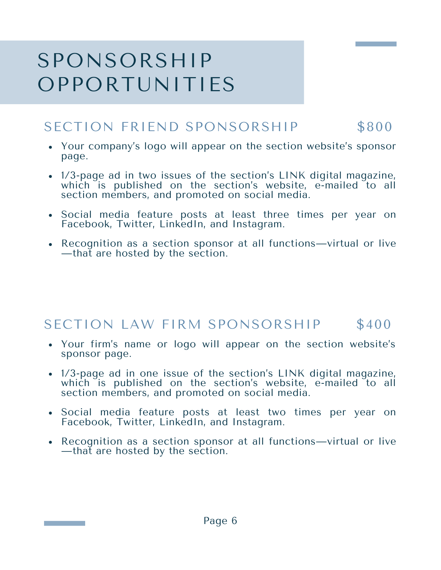### SPONSORSHIP OPPORTUNITIES

#### SECTION FRIEND SPONSORSHIP \$800

- Your company's logo will appear on the section website's sponsor page.
- 1/3-page ad in two issues of the section's LINK digital magazine, which is published on the section's website, e-mailed to all section members, and promoted on social media.
- Social media feature posts at least three times per year on Facebook, Twitter, LinkedIn, and Instagram.
- Recognition as a section sponsor at all functions—virtual or live —that are hosted by the section.

#### SECTION LAW FIRM SPONSORSHIP \$400

- Your firm's name or logo will appear on the section website's sponsor page.
- 1/3-page ad in one issue of the section's LINK digital magazine, which is published on the section's website, e-mailed to all section members, and promoted on social media.
- Social media feature posts at least two times per year on Facebook, Twitter, LinkedIn, and Instagram.
- Recognition as a section sponsor at all functions—virtual or live —that are hosted by the section.

**The Community of Community**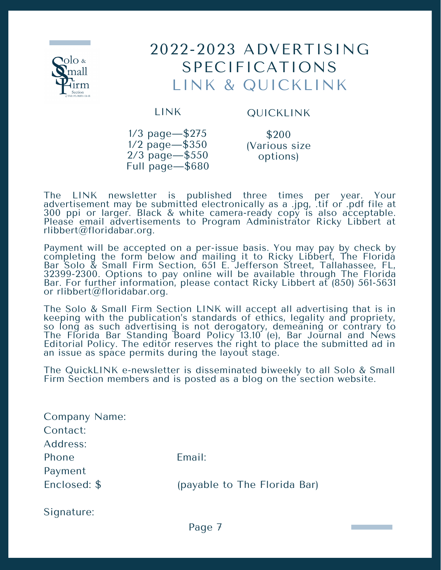

### 2022-2023 ADVERTISING SPECIFICATIONS LINK & QUICKLINK

LINK

#### QUICKLINK

1/3 page—\$275 1/2 page—\$350 2/3 page—\$550 Full page—\$680

\$200 (Various size options)

The LINK newsletter is published three times per year. Your advertisement may be submitted electronically as a .jpg, .tif or .pdf file at 300 ppi or larger. Black & white camera-ready copy is also acceptable. Please email advertisements to Program Administrator Ricky Libbert at rlibbert@floridabar.org.

Payment will be accepted on a per-issue basis. You may pay by check by completing the form below and mailing it to Ricky Libbert, The Florida Bar Solo & Small Firm Section, 651 E. Jefferson Street, Tallahassee, FL, 32399-2300. Options to pay online will be available through The Florida Bar. For further information, please contact Ricky Libbert at (850) 561-5631 or rlibbert@floridabar.org.

The Solo & Small Firm Section LINK will accept all advertising that is in keeping with the publication's standards of ethics, legality and propriety, so long as such advertising is not derogatory, demeaning or contrary to The Florida Bar Standing Board Policy 13.10 (e), Bar Journal and News Editorial Policy. The editor reserves the right to place the submitted ad in an issue as space permits during the layout stage.

The QuickLINK e-newsletter is disseminated biweekly to all Solo & Small Firm Section members and is posted as a blog on the section website.

Company Name: Contact: Address: Phone **Email:** Payment Enclosed: \$ (payable to The Florida Bar) Signature:

Page 7

a sa kacamatan ing Kabupatèn Kabupatèn Ing